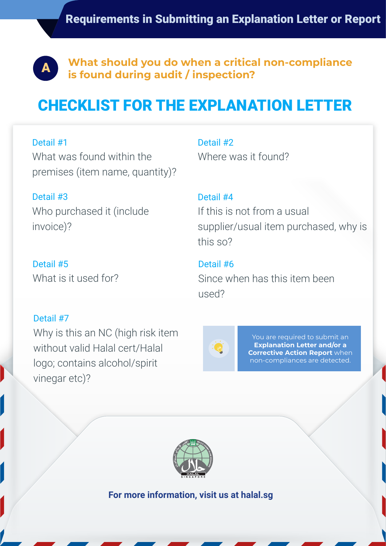

**What should you do when a critical non-compliance is found during audit / inspection?**<br>**Example 20 is found during audit / inspection?** 

## CHECKLIST FOR THE EXPLANATION LETTER

Detail #1

What was found within the premises (item name, quantity)?

Detail #3

Who purchased it (include invoice)?

Detail #5 What is it used for?

Detail #7

Why is this an NC (high risk item without valid Halal cert/Halal logo; contains alcohol/spirit vinegar etc)?

Detail #2 Where was it found?

Detail #4 If this is not from a usual supplier/usual item purchased, why is this so?

Detail #6 Since when has this item been used?



You are required to submit an **Explanation Letter and/or a Corrective Action Report** when non-compliances are detected.



**For more information, visit us at halal.sg**